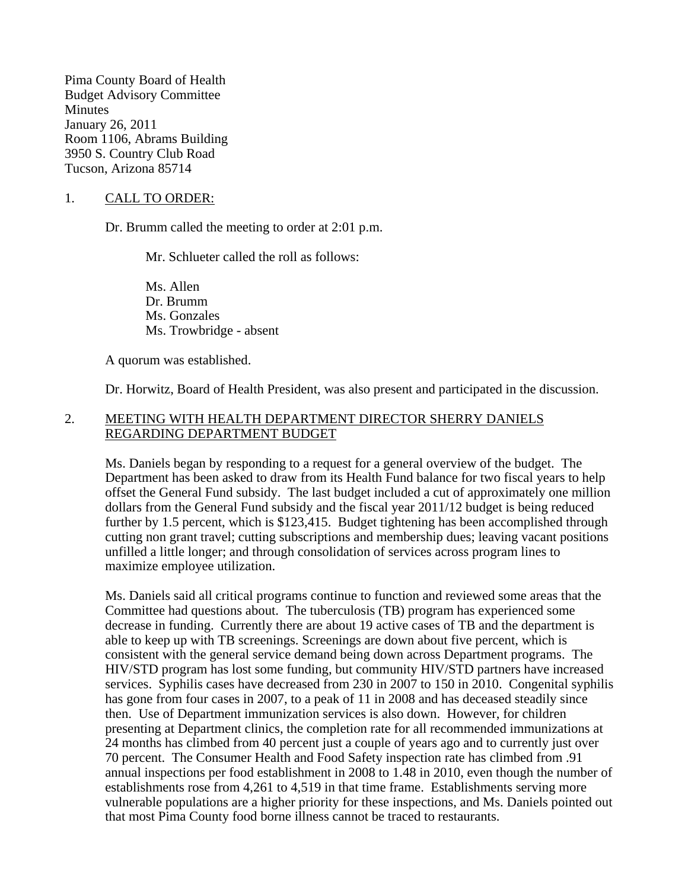Pima County Board of Health Budget Advisory Committee **Minutes** January 26, 2011 Room 1106, Abrams Building 3950 S. Country Club Road Tucson, Arizona 85714

## 1. CALL TO ORDER:

Dr. Brumm called the meeting to order at 2:01 p.m.

Mr. Schlueter called the roll as follows:

Ms. Allen Dr. Brumm Ms. Gonzales Ms. Trowbridge - absent

A quorum was established.

Dr. Horwitz, Board of Health President, was also present and participated in the discussion.

## 2. MEETING WITH HEALTH DEPARTMENT DIRECTOR SHERRY DANIELS REGARDING DEPARTMENT BUDGET

Ms. Daniels began by responding to a request for a general overview of the budget. The Department has been asked to draw from its Health Fund balance for two fiscal years to help offset the General Fund subsidy. The last budget included a cut of approximately one million dollars from the General Fund subsidy and the fiscal year 2011/12 budget is being reduced further by 1.5 percent, which is \$123,415. Budget tightening has been accomplished through cutting non grant travel; cutting subscriptions and membership dues; leaving vacant positions unfilled a little longer; and through consolidation of services across program lines to maximize employee utilization.

Ms. Daniels said all critical programs continue to function and reviewed some areas that the Committee had questions about. The tuberculosis (TB) program has experienced some decrease in funding. Currently there are about 19 active cases of TB and the department is able to keep up with TB screenings. Screenings are down about five percent, which is consistent with the general service demand being down across Department programs. The HIV/STD program has lost some funding, but community HIV/STD partners have increased services. Syphilis cases have decreased from 230 in 2007 to 150 in 2010. Congenital syphilis has gone from four cases in 2007, to a peak of 11 in 2008 and has deceased steadily since then. Use of Department immunization services is also down. However, for children presenting at Department clinics, the completion rate for all recommended immunizations at 24 months has climbed from 40 percent just a couple of years ago and to currently just over 70 percent. The Consumer Health and Food Safety inspection rate has climbed from .91 annual inspections per food establishment in 2008 to 1.48 in 2010, even though the number of establishments rose from 4,261 to 4,519 in that time frame. Establishments serving more vulnerable populations are a higher priority for these inspections, and Ms. Daniels pointed out that most Pima County food borne illness cannot be traced to restaurants.